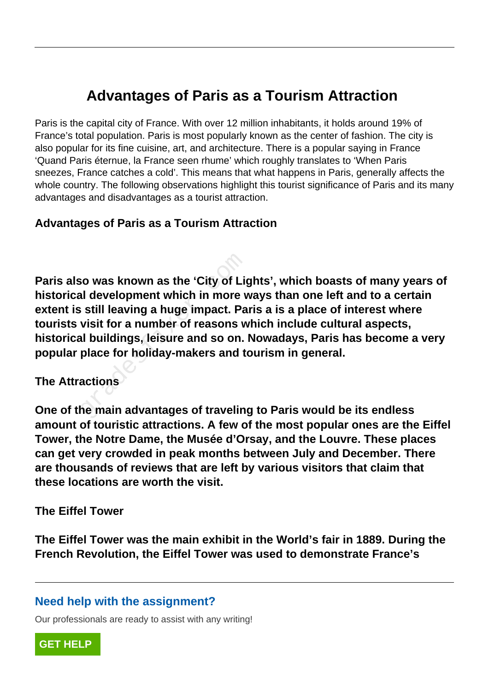# **Advantages of Paris as a Tourism Attraction**

Paris is the capital city of France. With over 12 million inhabitants, it holds around 19% of France's total population. Paris is most popularly known as the center of fashion. The city is also popular for its fine cuisine, art, and architecture. There is a popular saying in France 'Quand Paris éternue, la France seen rhume' which roughly translates to 'When Paris sneezes, France catches a cold'. This means that what happens in Paris, generally affects the whole country. The following observations highlight this tourist significance of Paris and its many advantages and disadvantages as a tourist attraction.

#### **Advantages of Paris as a Tourism Attraction**

**Paris also was known as the 'City of Lights', which boasts of many years of historical development which in more ways than one left and to a certain extent is still leaving a huge impact. Paris a is a place of interest where tourists visit for a number of reasons which include cultural aspects, historical buildings, leisure and so on. Nowadays, Paris has become a very popular place for holiday-makers and tourism in general.** France which in more valid development which in more v<br>Figures is still leaving a huge impact. Pa<br>Visit for a number of reasons worker which in more<br>advisit for a number of reasons worker<br>actions<br>actions

#### **The Attractions**

**One of the main advantages of traveling to Paris would be its endless amount of touristic attractions. A few of the most popular ones are the Eiffel Tower, the Notre Dame, the Musée d'Orsay, and the Louvre. These places can get very crowded in peak months between July and December. There are thousands of reviews that are left by various visitors that claim that these locations are worth the visit.**

#### **The Eiffel Tower**

**The Eiffel Tower was the main exhibit in the World's fair in 1889. During the French Revolution, the Eiffel Tower was used to demonstrate France's**

#### **Need help with the assignment?**

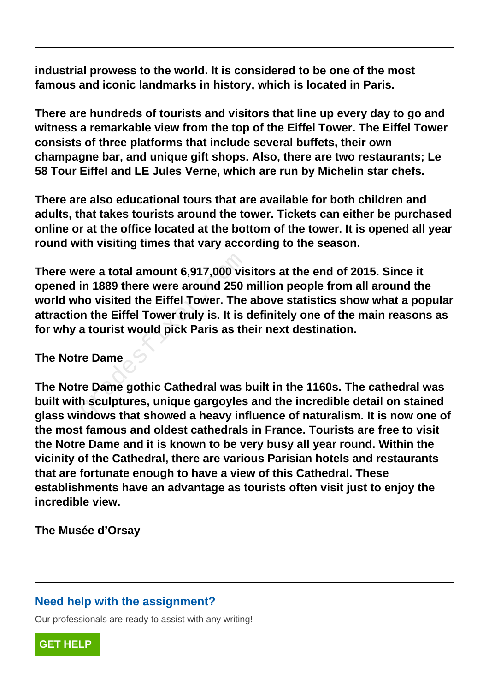**industrial prowess to the world. It is considered to be one of the most famous and iconic landmarks in history, which is located in Paris.**

**There are hundreds of tourists and visitors that line up every day to go and witness a remarkable view from the top of the Eiffel Tower. The Eiffel Tower consists of three platforms that include several buffets, their own champagne bar, and unique gift shops. Also, there are two restaurants; Le 58 Tour Eiffel and LE Jules Verne, which are run by Michelin star chefs.**

**There are also educational tours that are available for both children and adults, that takes tourists around the tower. Tickets can either be purchased online or at the office located at the bottom of the tower. It is opened all year round with visiting times that vary according to the season.**

**There were a total amount 6,917,000 visitors at the end of 2015. Since it opened in 1889 there were around 250 million people from all around the world who visited the Eiffel Tower. The above statistics show what a popular attraction the Eiffel Tower truly is. It is definitely one of the main reasons as for why a tourist would pick Paris as their next destination.** ere a total amount 6,917,000 vis<br>in 1889 there were around 250<br>no visited the Eiffel Tower. The<br>n the Eiffel Tower truly is. It is<br>a tourist would pick Paris as th<br>re Dame<br>re Dame<br>re Dame gothic Cathedral was I<br>h sculpture

#### **The Notre Dame**

**The Notre Dame gothic Cathedral was built in the 1160s. The cathedral was built with sculptures, unique gargoyles and the incredible detail on stained glass windows that showed a heavy influence of naturalism. It is now one of the most famous and oldest cathedrals in France. Tourists are free to visit the Notre Dame and it is known to be very busy all year round. Within the vicinity of the Cathedral, there are various Parisian hotels and restaurants that are fortunate enough to have a view of this Cathedral. These establishments have an advantage as tourists often visit just to enjoy the incredible view.**

**The Musée d'Orsay**

#### **Need help with the assignment?**

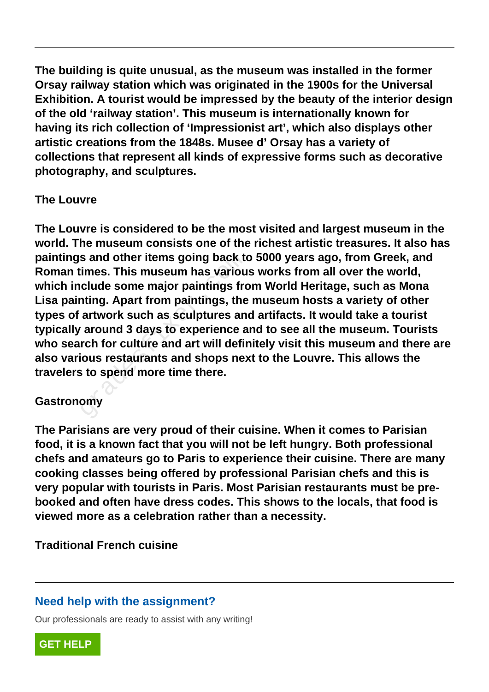**The building is quite unusual, as the museum was installed in the former Orsay railway station which was originated in the 1900s for the Universal Exhibition. A tourist would be impressed by the beauty of the interior design of the old 'railway station'. This museum is internationally known for having its rich collection of 'Impressionist art', which also displays other artistic creations from the 1848s. Musee d' Orsay has a variety of collections that represent all kinds of expressive forms such as decorative photography, and sculptures.**

## **The Louvre**

**The Louvre is considered to be the most visited and largest museum in the world. The museum consists one of the richest artistic treasures. It also has paintings and other items going back to 5000 years ago, from Greek, and Roman times. This museum has various works from all over the world, which include some major paintings from World Heritage, such as Mona Lisa painting. Apart from paintings, the museum hosts a variety of other types of artwork such as sculptures and artifacts. It would take a tourist typically around 3 days to experience and to see all the museum. Tourists who search for culture and art will definitely visit this museum and there are also various restaurants and shops next to the Louvre. This allows the travelers to spend more time there.** s and other items going back to<br>imes. This museum has variou<br>clude some major paintings fro<br>nting. Apart from paintings, the<br>artwork such as sculptures an<br>around 3 days to experience a<br>rch for culture and art will defin<br>io

# **Gastronomy**

**The Parisians are very proud of their cuisine. When it comes to Parisian food, it is a known fact that you will not be left hungry. Both professional chefs and amateurs go to Paris to experience their cuisine. There are many cooking classes being offered by professional Parisian chefs and this is very popular with tourists in Paris. Most Parisian restaurants must be prebooked and often have dress codes. This shows to the locals, that food is viewed more as a celebration rather than a necessity.**

**Traditional French cuisine**

# **Need help with the assignment?**

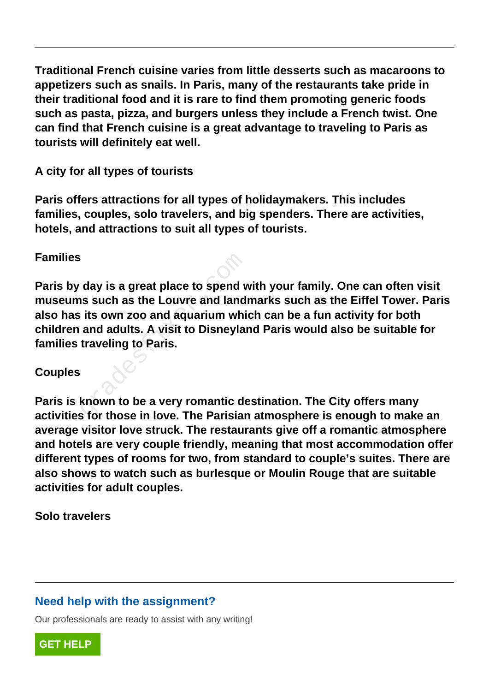**Traditional French cuisine varies from little desserts such as macaroons to appetizers such as snails. In Paris, many of the restaurants take pride in their traditional food and it is rare to find them promoting generic foods such as pasta, pizza, and burgers unless they include a French twist. One can find that French cuisine is a great advantage to traveling to Paris as tourists will definitely eat well.**

**A city for all types of tourists**

**Paris offers attractions for all types of holidaymakers. This includes families, couples, solo travelers, and big spenders. There are activities, hotels, and attractions to suit all types of tourists.**

## **Families**

**Paris by day is a great place to spend with your family. One can often visit museums such as the Louvre and landmarks such as the Eiffel Tower. Paris also has its own zoo and aquarium which can be a fun activity for both children and adults. A visit to Disneyland Paris would also be suitable for families traveling to Paris.** day is a great place to spend v<br>is such as the Louvre and land<br>its own zoo and aquarium whi<br>and adults. A visit to Disneylar<br>traveling to Paris.<br>Known to be a very romantic despote the State in love. The Parisian

# **Couples**

**Paris is known to be a very romantic destination. The City offers many activities for those in love. The Parisian atmosphere is enough to make an average visitor love struck. The restaurants give off a romantic atmosphere and hotels are very couple friendly, meaning that most accommodation offer different types of rooms for two, from standard to couple's suites. There are also shows to watch such as burlesque or Moulin Rouge that are suitable activities for adult couples.**

**Solo travelers**

# **Need help with the assignment?**

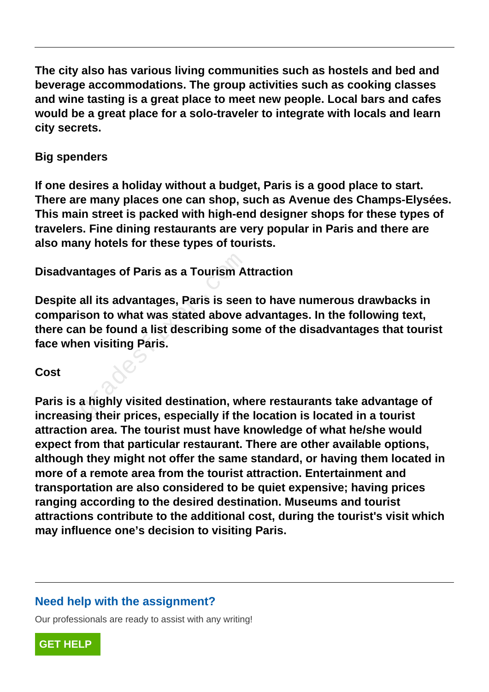**The city also has various living communities such as hostels and bed and beverage accommodations. The group activities such as cooking classes and wine tasting is a great place to meet new people. Local bars and cafes would be a great place for a solo-traveler to integrate with locals and learn city secrets.**

## **Big spenders**

**If one desires a holiday without a budget, Paris is a good place to start. There are many places one can shop, such as Avenue des Champs-Elysées. This main street is packed with high-end designer shops for these types of travelers. Fine dining restaurants are very popular in Paris and there are also many hotels for these types of tourists.**

**Disadvantages of Paris as a Tourism Attraction**

**Despite all its advantages, Paris is seen to have numerous drawbacks in comparison to what was stated above advantages. In the following text, there can be found a list describing some of the disadvantages that tourist face when visiting Paris.** ntages of Paris as a Tourism A<br>
all its advantages, Paris is seer<br>
son to what was stated above<br>
in be found a list describing sor<br>
en visiting Paris.<br>
a highly visited destination, wh<br>
a highly visited destination, wh<br>
a

## **Cost**

**Paris is a highly visited destination, where restaurants take advantage of increasing their prices, especially if the location is located in a tourist attraction area. The tourist must have knowledge of what he/she would expect from that particular restaurant. There are other available options, although they might not offer the same standard, or having them located in more of a remote area from the tourist attraction. Entertainment and transportation are also considered to be quiet expensive; having prices ranging according to the desired destination. Museums and tourist attractions contribute to the additional cost, during the tourist's visit which may influence one's decision to visiting Paris.**

# **Need help with the assignment?**

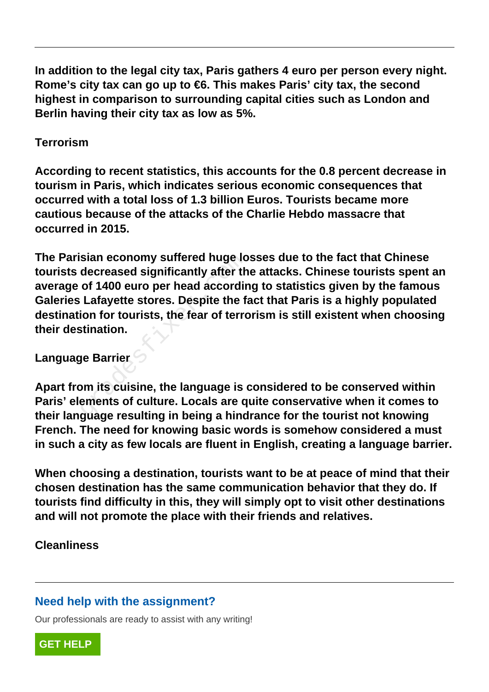**In addition to the legal city tax, Paris gathers 4 euro per person every night. Rome's city tax can go up to €6. This makes Paris' city tax, the second highest in comparison to surrounding capital cities such as London and Berlin having their city tax as low as 5%.**

## **Terrorism**

**According to recent statistics, this accounts for the 0.8 percent decrease in tourism in Paris, which indicates serious economic consequences that occurred with a total loss of 1.3 billion Euros. Tourists became more cautious because of the attacks of the Charlie Hebdo massacre that occurred in 2015.**

**The Parisian economy suffered huge losses due to the fact that Chinese tourists decreased significantly after the attacks. Chinese tourists spent an average of 1400 euro per head according to statistics given by the famous Galeries Lafayette stores. Despite the fact that Paris is a highly populated destination for tourists, the fear of terrorism is still existent when choosing their destination.** sian economy suffered huge lo<br>decreased significantly after th<br>of 1400 euro per head accordir<br>Lafayette stores. Despite the f<br>ion for tourists, the fear of terro<br>stination.<br>ye Barrier<br>om its cuisine, the language is oppene

## **Language Barrier**

**Apart from its cuisine, the language is considered to be conserved within Paris' elements of culture. Locals are quite conservative when it comes to their language resulting in being a hindrance for the tourist not knowing French. The need for knowing basic words is somehow considered a must in such a city as few locals are fluent in English, creating a language barrier.**

**When choosing a destination, tourists want to be at peace of mind that their chosen destination has the same communication behavior that they do. If tourists find difficulty in this, they will simply opt to visit other destinations and will not promote the place with their friends and relatives.**

# **Cleanliness**

# **Need help with the assignment?**

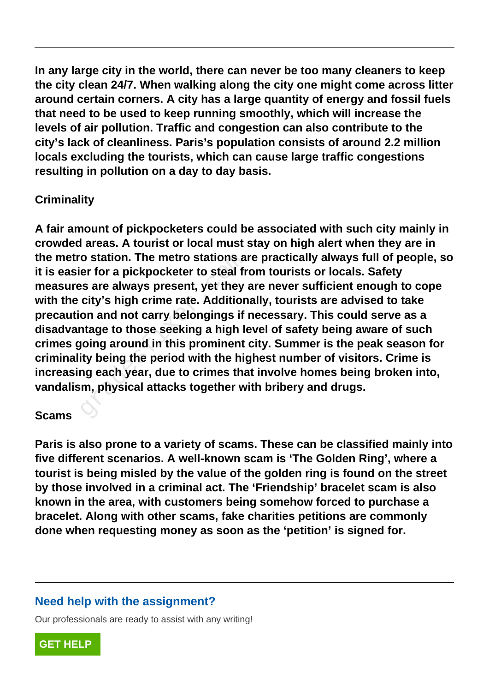**In any large city in the world, there can never be too many cleaners to keep the city clean 24/7. When walking along the city one might come across litter around certain corners. A city has a large quantity of energy and fossil fuels that need to be used to keep running smoothly, which will increase the levels of air pollution. Traffic and congestion can also contribute to the city's lack of cleanliness. Paris's population consists of around 2.2 million locals excluding the tourists, which can cause large traffic congestions resulting in pollution on a day to day basis.**

# **Criminality**

**A fair amount of pickpocketers could be associated with such city mainly in crowded areas. A tourist or local must stay on high alert when they are in the metro station. The metro stations are practically always full of people, so it is easier for a pickpocketer to steal from tourists or locals. Safety measures are always present, yet they are never sufficient enough to cope with the city's high crime rate. Additionally, tourists are advised to take precaution and not carry belongings if necessary. This could serve as a disadvantage to those seeking a high level of safety being aware of such crimes going around in this prominent city. Summer is the peak season for criminality being the period with the highest number of visitors. Crime is increasing each year, due to crimes that involve homes being broken into, vandalism, physical attacks together with bribery and drugs.** o station. The metro stations a<br>er for a pickpocketer to steal fr<br>is are always present, yet they<br>city's high crime rate. Addition<br>on and not carry belongings if<br>ntage to those seeking a high le<br>joing around in this promin

## **Scams**

**Paris is also prone to a variety of scams. These can be classified mainly into five different scenarios. A well-known scam is 'The Golden Ring', where a tourist is being misled by the value of the golden ring is found on the street by those involved in a criminal act. The 'Friendship' bracelet scam is also known in the area, with customers being somehow forced to purchase a bracelet. Along with other scams, fake charities petitions are commonly done when requesting money as soon as the 'petition' is signed for.**

# **Need help with the assignment?**